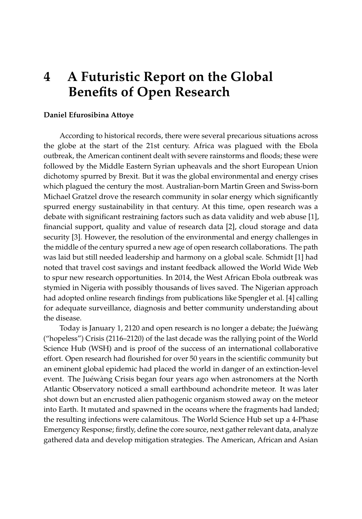## **4 A Futuristic Report on the Global Benefits of Open Research**

## **Daniel Efurosibina Attoye**

According to historical records, there were several precarious situations across the globe at the start of the 21st century. Africa was plagued with the Ebola outbreak, the American continent dealt with severe rainstorms and floods; these were followed by the Middle Eastern Syrian upheavals and the short European Union dichotomy spurred by Brexit. But it was the global environmental and energy crises which plagued the century the most. Australian-born Martin Green and Swiss-born Michael Gratzel drove the research community in solar energy which significantly spurred energy sustainability in that century. At this time, open research was a debate with significant restraining factors such as data validity and web abuse [\[1\]](#page-2-0), financial support, quality and value of research data [\[2\]](#page-2-1), cloud storage and data security [\[3\]](#page-2-2). However, the resolution of the environmental and energy challenges in the middle of the century spurred a new age of open research collaborations. The path was laid but still needed leadership and harmony on a global scale. Schmidt [\[1\]](#page-2-0) had noted that travel cost savings and instant feedback allowed the World Wide Web to spur new research opportunities. In 2014, the West African Ebola outbreak was stymied in Nigeria with possibly thousands of lives saved. The Nigerian approach had adopted online research findings from publications like Spengler et al. [\[4\]](#page-2-3) calling for adequate surveillance, diagnosis and better community understanding about the disease.

Today is January 1, 2120 and open research is no longer a debate; the Juéwàng ("hopeless") Crisis (2116–2120) of the last decade was the rallying point of the World Science Hub (WSH) and is proof of the success of an international collaborative effort. Open research had flourished for over 50 years in the scientific community but an eminent global epidemic had placed the world in danger of an extinction-level event. The Juéwàng Crisis began four years ago when astronomers at the North Atlantic Observatory noticed a small earthbound achondrite meteor. It was later shot down but an encrusted alien pathogenic organism stowed away on the meteor into Earth. It mutated and spawned in the oceans where the fragments had landed; the resulting infections were calamitous. The World Science Hub set up a 4-Phase Emergency Response; firstly, define the core source, next gather relevant data, analyze gathered data and develop mitigation strategies. The American, African and Asian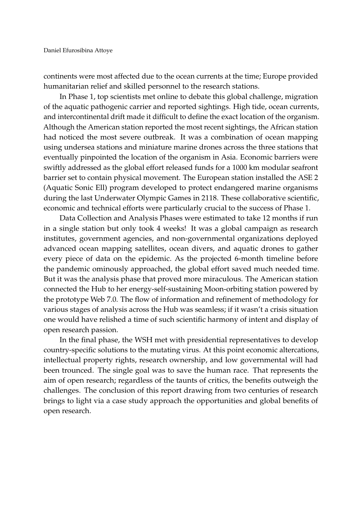continents were most affected due to the ocean currents at the time; Europe provided humanitarian relief and skilled personnel to the research stations.

In Phase 1, top scientists met online to debate this global challenge, migration of the aquatic pathogenic carrier and reported sightings. High tide, ocean currents, and intercontinental drift made it difficult to define the exact location of the organism. Although the American station reported the most recent sightings, the African station had noticed the most severe outbreak. It was a combination of ocean mapping using undersea stations and miniature marine drones across the three stations that eventually pinpointed the location of the organism in Asia. Economic barriers were swiftly addressed as the global effort released funds for a 1000 km modular seafront barrier set to contain physical movement. The European station installed the ASE 2 (Aquatic Sonic Ell) program developed to protect endangered marine organisms during the last Underwater Olympic Games in 2118. These collaborative scientific, economic and technical efforts were particularly crucial to the success of Phase 1.

Data Collection and Analysis Phases were estimated to take 12 months if run in a single station but only took 4 weeks! It was a global campaign as research institutes, government agencies, and non-governmental organizations deployed advanced ocean mapping satellites, ocean divers, and aquatic drones to gather every piece of data on the epidemic. As the projected 6-month timeline before the pandemic ominously approached, the global effort saved much needed time. But it was the analysis phase that proved more miraculous. The American station connected the Hub to her energy-self-sustaining Moon-orbiting station powered by the prototype Web 7.0. The flow of information and refinement of methodology for various stages of analysis across the Hub was seamless; if it wasn't a crisis situation one would have relished a time of such scientific harmony of intent and display of open research passion.

In the final phase, the WSH met with presidential representatives to develop country-specific solutions to the mutating virus. At this point economic altercations, intellectual property rights, research ownership, and low governmental will had been trounced. The single goal was to save the human race. That represents the aim of open research; regardless of the taunts of critics, the benefits outweigh the challenges. The conclusion of this report drawing from two centuries of research brings to light via a case study approach the opportunities and global benefits of open research.